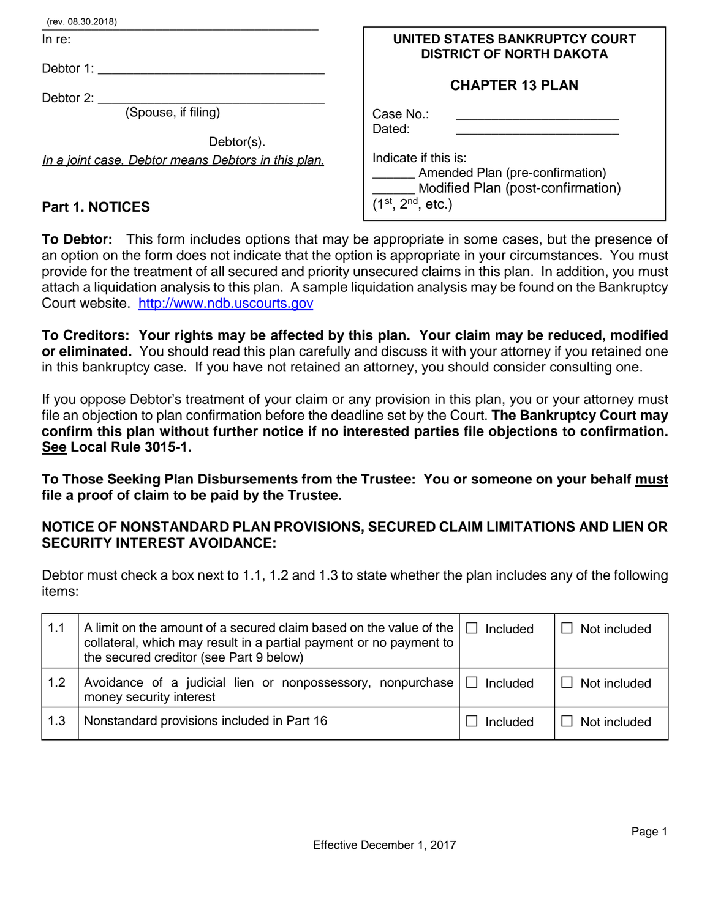| (rev. 08.30.2018)                                   |                                                                   |
|-----------------------------------------------------|-------------------------------------------------------------------|
| In $re$ :                                           | UNITED STATES BANKRUPTCY COURT<br><b>DISTRICT OF NORTH DAKOTA</b> |
| Debtor 1:                                           |                                                                   |
|                                                     | <b>CHAPTER 13 PLAN</b>                                            |
| Debtor 2:                                           |                                                                   |
| (Spouse, if filing)                                 | Case No.:                                                         |
|                                                     | Dated:                                                            |
| Debtor(s).                                          |                                                                   |
| In a joint case, Debtor means Debtors in this plan. | Indicate if this is:                                              |
|                                                     | Amended Plan (pre-confirmation)                                   |
|                                                     | Modified Plan (post-confirmation)                                 |
| <b>Part 1. NOTICES</b>                              | $(1^{st}, 2^{nd}, etc.)$                                          |
|                                                     |                                                                   |

**To Debtor:** This form includes options that may be appropriate in some cases, but the presence of an option on the form does not indicate that the option is appropriate in your circumstances. You must provide for the treatment of all secured and priority unsecured claims in this plan.In addition, you must attach a liquidation analysis to this plan. A sample liquidation analysis may be found on the Bankruptcy Court website. [http://www.ndb.uscourts.gov](http://www.ndb.uscourts.gov/)

**To Creditors: Your rights may be affected by this plan. Your claim may be reduced, modified or eliminated.** You should read this plan carefully and discuss it with your attorney if you retained one in this bankruptcy case. If you have not retained an attorney, you should consider consulting one.

If you oppose Debtor's treatment of your claim or any provision in this plan, you or your attorney must file an objection to plan confirmation before the deadline set by the Court. **The Bankruptcy Court may confirm this plan without further notice if no interested parties file objections to confirmation. See Local Rule 3015-1.** 

**To Those Seeking Plan Disbursements from the Trustee: You or someone on your behalf must file a proof of claim to be paid by the Trustee.** 

# **NOTICE OF NONSTANDARD PLAN PROVISIONS, SECURED CLAIM LIMITATIONS AND LIEN OR SECURITY INTEREST AVOIDANCE:**

Debtor must check a box next to 1.1, 1.2 and 1.3 to state whether the plan includes any of the following items:

| 1.1 | A limit on the amount of a secured claim based on the value of the  <br>collateral, which may result in a partial payment or no payment to<br>the secured creditor (see Part 9 below) | Included | $\Box$ Not included |
|-----|---------------------------------------------------------------------------------------------------------------------------------------------------------------------------------------|----------|---------------------|
| 1.2 | Avoidance of a judicial lien or nonpossessory, nonpurchase $\Box$ Included<br>money security interest                                                                                 |          | $\Box$ Not included |
| 1.3 | Nonstandard provisions included in Part 16                                                                                                                                            | Included | $\Box$ Not included |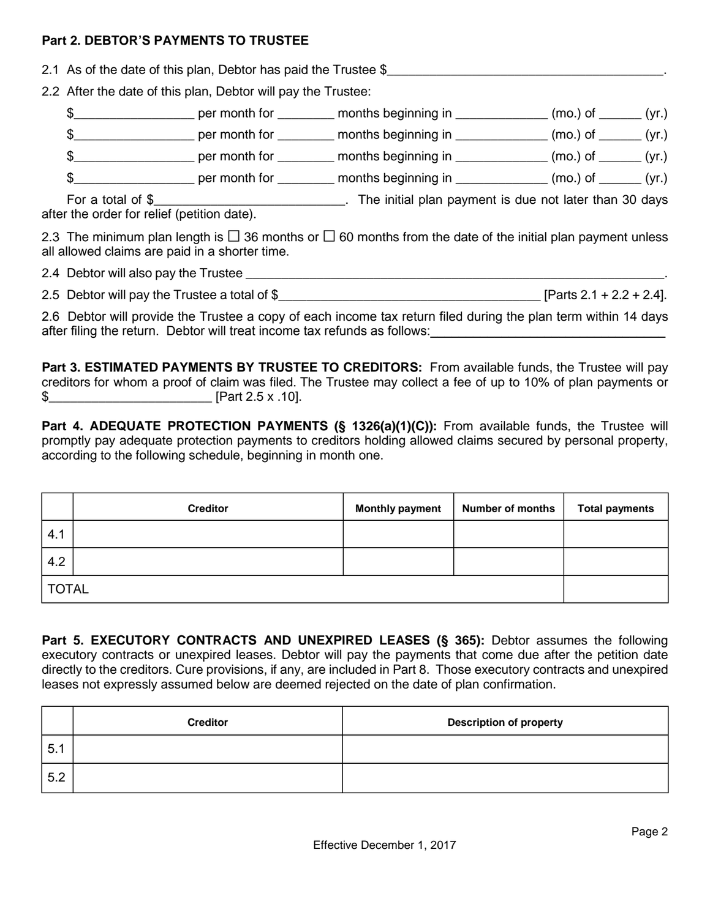#### **Part 2. DEBTOR'S PAYMENTS TO TRUSTEE**

- 2.1 As of the date of this plan, Debtor has paid the Trustee \$
- 2.2 After the date of this plan, Debtor will pay the Trustee:
	- \$\_\_\_\_\_\_\_\_\_\_\_\_\_\_\_\_\_ per month for \_\_\_\_\_\_\_\_ months beginning in \_\_\_\_\_\_\_\_\_\_\_\_\_ (mo.) of \_\_\_\_\_\_ (yr.)
	- \$\_\_\_\_\_\_\_\_\_\_\_\_\_\_\_\_\_ per month for \_\_\_\_\_\_\_\_ months beginning in \_\_\_\_\_\_\_\_\_\_\_\_\_ (mo.) of \_\_\_\_\_\_ (yr.)
	- \$\_\_\_\_\_\_\_\_\_\_\_\_\_\_\_\_\_\_\_\_\_\_\_\_\_ per month for \_\_\_\_\_\_\_\_\_\_\_ months beginning in \_\_\_\_\_\_\_\_\_\_\_\_\_\_\_\_ (mo.) of \_\_\_\_\_\_\_ (yr.)
	- \$\_\_\_\_\_\_\_\_\_\_\_\_\_\_\_\_\_\_\_\_\_\_\_\_\_ per month for \_\_\_\_\_\_\_\_\_\_\_ months beginning in \_\_\_\_\_\_\_\_\_\_\_\_\_\_\_\_ (mo.) of \_\_\_\_\_\_\_ (yr.)

For a total of \$\_\_\_\_\_\_\_\_\_\_\_\_\_\_\_\_\_\_\_\_\_\_\_\_\_\_\_\_\_\_. The initial plan payment is due not later than 30 days after the order for relief (petition date).

2.3 The minimum plan length is  $\Box$  36 months or  $\Box$  60 months from the date of the initial plan payment unless all allowed claims are paid in a shorter time.

2.4 Debtor will also pay the Trustee \_\_\_\_\_\_\_\_\_\_\_\_\_\_\_\_\_\_\_\_\_\_\_\_\_\_\_\_\_\_\_\_\_\_\_\_\_\_\_\_\_\_\_\_\_\_\_\_\_\_\_\_\_\_\_\_\_\_\_.

| 2.5 Debtor will pay the Trustee a total of \$ | [Parts $2.1 + 2.2 + 2.4$ ]. |
|-----------------------------------------------|-----------------------------|
|-----------------------------------------------|-----------------------------|

2.6 Debtor will provide the Trustee a copy of each income tax return filed during the plan term within 14 days after filing the return. Debtor will treat income tax refunds as follows: will also also also also also also a

**Part 3. ESTIMATED PAYMENTS BY TRUSTEE TO CREDITORS:** From available funds, the Trustee will pay creditors for whom a proof of claim was filed. The Trustee may collect a fee of up to 10% of plan payments or \$\_\_\_\_\_\_\_\_\_\_\_\_\_\_\_\_\_\_\_\_\_\_\_ [Part 2.5 x .10].

Part 4. ADEQUATE PROTECTION PAYMENTS (§ 1326(a)(1)(C)): From available funds, the Trustee will promptly pay adequate protection payments to creditors holding allowed claims secured by personal property, according to the following schedule, beginning in month one.

|              | <b>Creditor</b> | <b>Monthly payment</b> | <b>Number of months</b> | <b>Total payments</b> |
|--------------|-----------------|------------------------|-------------------------|-----------------------|
| 4.1          |                 |                        |                         |                       |
| 4.2          |                 |                        |                         |                       |
| <b>TOTAL</b> |                 |                        |                         |                       |

**Part 5. EXECUTORY CONTRACTS AND UNEXPIRED LEASES (§ 365):** Debtor assumes the following executory contracts or unexpired leases. Debtor will pay the payments that come due after the petition date directly to the creditors. Cure provisions, if any, are included in Part 8. Those executory contracts and unexpired leases not expressly assumed below are deemed rejected on the date of plan confirmation.

|     | <b>Creditor</b> | <b>Description of property</b> |
|-----|-----------------|--------------------------------|
| 5.1 |                 |                                |
| 5.2 |                 |                                |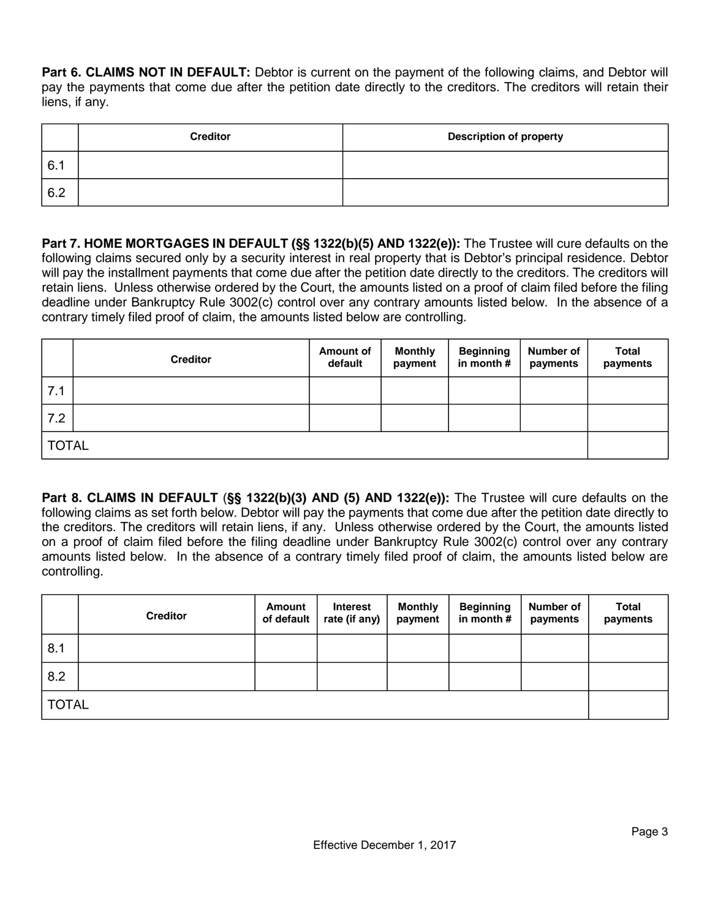**Part 6. CLAIMS NOT IN DEFAULT:** Debtor is current on the payment of the following claims, and Debtor will pay the payments that come due after the petition date directly to the creditors. The creditors will retain their liens, if any.

|     | <b>Creditor</b> | <b>Description of property</b> |
|-----|-----------------|--------------------------------|
| 6.1 |                 |                                |
| 6.2 |                 |                                |

**Part 7. HOME MORTGAGES IN DEFAULT (§§ 1322(b)(5) AND 1322(e)):** The Trustee will cure defaults on the following claims secured only by a security interest in real property that is Debtor's principal residence. Debtor will pay the installment payments that come due after the petition date directly to the creditors. The creditors will retain liens. Unless otherwise ordered by the Court, the amounts listed on a proof of claim filed before the filing deadline under Bankruptcy Rule 3002(c) control over any contrary amounts listed below. In the absence of a contrary timely filed proof of claim, the amounts listed below are controlling.

|     | <b>Creditor</b> | Amount of<br>default | <b>Monthly</b><br>payment | <b>Beginning</b><br>in month # | Number of<br>payments | <b>Total</b><br>payments |  |  |
|-----|-----------------|----------------------|---------------------------|--------------------------------|-----------------------|--------------------------|--|--|
| 7.1 |                 |                      |                           |                                |                       |                          |  |  |
| 7.2 |                 |                      |                           |                                |                       |                          |  |  |
|     | <b>TOTAL</b>    |                      |                           |                                |                       |                          |  |  |

**Part 8. CLAIMS IN DEFAULT** (**§§ 1322(b)(3) AND (5) AND 1322(e)):** The Trustee will cure defaults on the following claims as set forth below. Debtor will pay the payments that come due after the petition date directly to the creditors. The creditors will retain liens, if any. Unless otherwise ordered by the Court, the amounts listed on a proof of claim filed before the filing deadline under Bankruptcy Rule 3002(c) control over any contrary amounts listed below. In the absence of a contrary timely filed proof of claim, the amounts listed below are controlling.

|     | <b>Creditor</b> | Amount<br>of default | <b>Interest</b><br>rate (if any) | <b>Monthly</b><br>payment | <b>Beginning</b><br>in month # | <b>Number of</b><br>payments | <b>Total</b><br>payments |  |
|-----|-----------------|----------------------|----------------------------------|---------------------------|--------------------------------|------------------------------|--------------------------|--|
| 8.1 |                 |                      |                                  |                           |                                |                              |                          |  |
| 8.2 |                 |                      |                                  |                           |                                |                              |                          |  |
|     | <b>TOTAL</b>    |                      |                                  |                           |                                |                              |                          |  |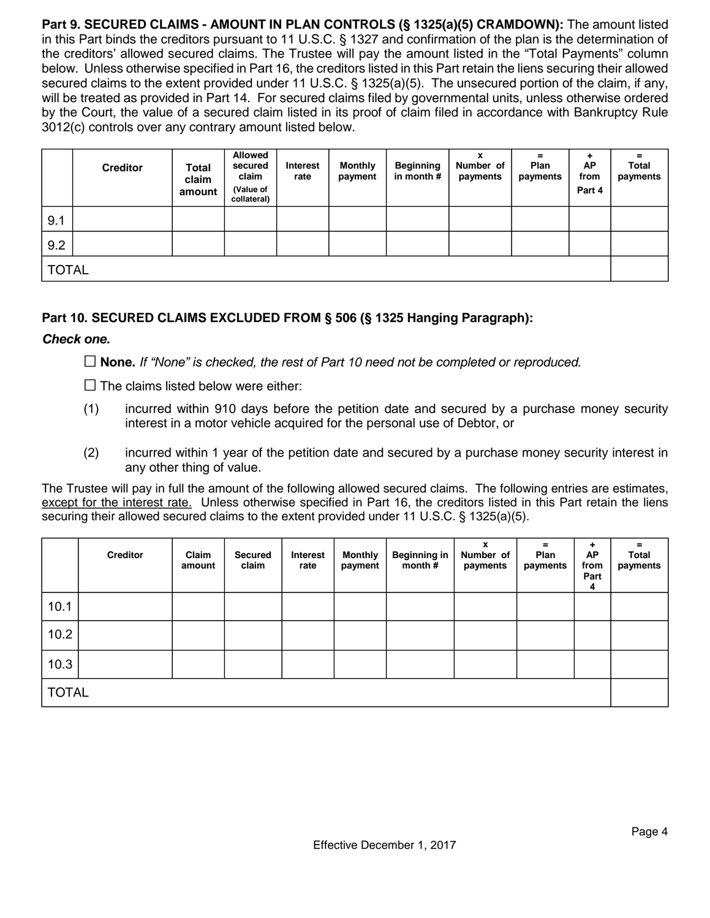**Part 9. SECURED CLAIMS - AMOUNT IN PLAN CONTROLS (§ 1325(a)(5) CRAMDOWN):** The amount listed in this Part binds the creditors pursuant to 11 U.S.C. § 1327 and confirmation of the plan is the determination of the creditors' allowed secured claims. The Trustee will pay the amount listed in the "Total Payments" column below. Unless otherwise specified in Part 16, the creditors listed in this Part retain the liens securing their allowed secured claims to the extent provided under 11 U.S.C. § 1325(a)(5). The unsecured portion of the claim, if any, will be treated as provided in Part 14. For secured claims filed by governmental units, unless otherwise ordered by the Court, the value of a secured claim listed in its proof of claim filed in accordance with Bankruptcy Rule 3012(c) controls over any contrary amount listed below.

|              | <b>Creditor</b> | <b>Total</b><br>claim<br>amount | <b>Allowed</b><br>secured<br>claim<br>(Value of<br>collateral) | <b>Interest</b><br>rate | <b>Monthly</b><br>payment | <b>Beginning</b><br>in month # | Number of<br>payments | =<br><b>Plan</b><br>payments | ٠<br>AP<br>from<br>Part 4 | $=$<br>Total<br>payments |
|--------------|-----------------|---------------------------------|----------------------------------------------------------------|-------------------------|---------------------------|--------------------------------|-----------------------|------------------------------|---------------------------|--------------------------|
| 9.1          |                 |                                 |                                                                |                         |                           |                                |                       |                              |                           |                          |
| 9.2          |                 |                                 |                                                                |                         |                           |                                |                       |                              |                           |                          |
| <b>TOTAL</b> |                 |                                 |                                                                |                         |                           |                                |                       |                              |                           |                          |

## **Part 10. SECURED CLAIMS EXCLUDED FROM § 506 (§ 1325 Hanging Paragraph):**

#### *Check one.*

G **None.** *If "None" is checked, the rest of Part 10 need not be completed or reproduced.*

 $\Box$  The claims listed below were either:

- (1) incurred within 910 days before the petition date and secured by a purchase money security interest in a motor vehicle acquired for the personal use of Debtor, or
- (2) incurred within 1 year of the petition date and secured by a purchase money security interest in any other thing of value.

The Trustee will pay in full the amount of the following allowed secured claims. The following entries are estimates, except for the interest rate. Unless otherwise specified in Part 16, the creditors listed in this Part retain the liens securing their allowed secured claims to the extent provided under 11 U.S.C. § 1325(a)(5).

|              | <b>Creditor</b> | Claim<br>amount | <b>Secured</b><br>claim | Interest<br>rate | <b>Monthly</b><br>payment | <b>Beginning in</b><br>month $#$ | x<br>Number of<br>payments | =<br>Plan<br>payments | ٠<br>AP<br>from<br>Part<br>4 | =<br><b>Total</b><br>payments |
|--------------|-----------------|-----------------|-------------------------|------------------|---------------------------|----------------------------------|----------------------------|-----------------------|------------------------------|-------------------------------|
| 10.1         |                 |                 |                         |                  |                           |                                  |                            |                       |                              |                               |
| 10.2         |                 |                 |                         |                  |                           |                                  |                            |                       |                              |                               |
| 10.3         |                 |                 |                         |                  |                           |                                  |                            |                       |                              |                               |
| <b>TOTAL</b> |                 |                 |                         |                  |                           |                                  |                            |                       |                              |                               |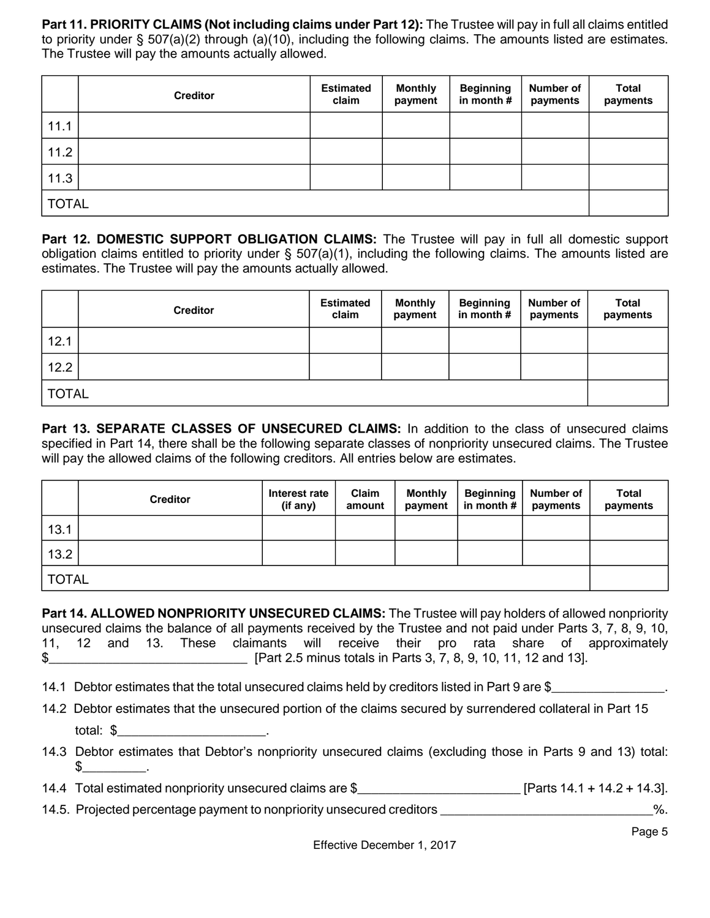**Part 11. PRIORITY CLAIMS (Not including claims under Part 12):** The Trustee will pay in full all claims entitled to priority under § 507(a)(2) through (a)(10), including the following claims. The amounts listed are estimates. The Trustee will pay the amounts actually allowed.

|              | <b>Creditor</b> | <b>Estimated</b><br>claim | <b>Monthly</b><br>payment | <b>Beginning</b><br>in month # | Number of<br>payments | <b>Total</b><br>payments |
|--------------|-----------------|---------------------------|---------------------------|--------------------------------|-----------------------|--------------------------|
| 11.1         |                 |                           |                           |                                |                       |                          |
| 11.2         |                 |                           |                           |                                |                       |                          |
| 11.3         |                 |                           |                           |                                |                       |                          |
| <b>TOTAL</b> |                 |                           |                           |                                |                       |                          |

**Part 12. DOMESTIC SUPPORT OBLIGATION CLAIMS:** The Trustee will pay in full all domestic support obligation claims entitled to priority under § 507(a)(1), including the following claims. The amounts listed are estimates. The Trustee will pay the amounts actually allowed.

|              | <b>Creditor</b> | <b>Estimated</b><br>claim | <b>Monthly</b><br>payment | <b>Beginning</b><br>in month # | Number of<br>payments | <b>Total</b><br>payments |  |
|--------------|-----------------|---------------------------|---------------------------|--------------------------------|-----------------------|--------------------------|--|
| 12.1         |                 |                           |                           |                                |                       |                          |  |
| 12.2         |                 |                           |                           |                                |                       |                          |  |
| <b>TOTAL</b> |                 |                           |                           |                                |                       |                          |  |

**Part 13. SEPARATE CLASSES OF UNSECURED CLAIMS:** In addition to the class of unsecured claims specified in Part 14, there shall be the following separate classes of nonpriority unsecured claims. The Trustee will pay the allowed claims of the following creditors. All entries below are estimates.

|              | <b>Creditor</b> | Interest rate<br>(if any) | Claim<br>amount | <b>Monthly</b><br>payment | <b>Beginning</b><br>in month $#$ | <b>Number of</b><br>payments | <b>Total</b><br>payments |
|--------------|-----------------|---------------------------|-----------------|---------------------------|----------------------------------|------------------------------|--------------------------|
| 13.1         |                 |                           |                 |                           |                                  |                              |                          |
| 13.2         |                 |                           |                 |                           |                                  |                              |                          |
| <b>TOTAL</b> |                 |                           |                 |                           |                                  |                              |                          |

**Part 14. ALLOWED NONPRIORITY UNSECURED CLAIMS:** The Trustee will pay holders of allowed nonpriority unsecured claims the balance of all payments received by the Trustee and not paid under Parts 3, 7, 8, 9, 10, 11, 12 and 13. These claimants will receive their pro rata share of approximately \$\_\_\_\_\_\_\_\_\_\_\_\_\_\_\_\_\_\_\_\_\_\_\_\_\_\_\_\_ [Part 2.5 minus totals in Parts 3, 7, 8, 9, 10, 11, 12 and 13].

14.1 Debtor estimates that the total unsecured claims held by creditors listed in Part 9 are \$

- 14.2 Debtor estimates that the unsecured portion of the claims secured by surrendered collateral in Part 15 total: \$\_\_\_\_\_\_\_\_\_\_\_\_\_\_\_\_\_\_\_\_\_.
- 14.3 Debtor estimates that Debtor's nonpriority unsecured claims (excluding those in Parts 9 and 13) total:  $\frac{1}{2}$ .

14.4 Total estimated nonpriority unsecured claims are \$\_\_\_\_\_\_\_\_\_\_\_\_\_\_\_\_\_\_\_\_\_\_\_ [Parts 14.1 + 14.2 + 14.3].

14.5. Projected percentage payment to nonpriority unsecured creditors \_\_\_\_\_\_\_\_\_\_\_\_\_\_\_\_\_\_\_\_\_\_\_\_\_\_\_\_\_%.